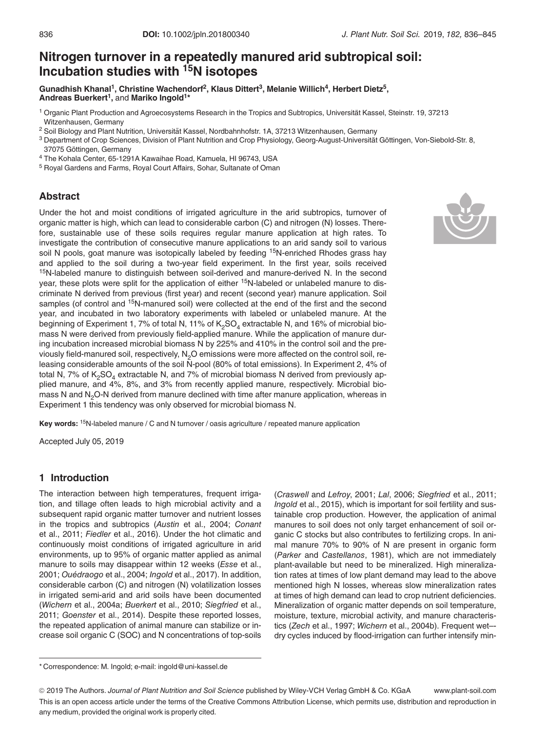# Nitrogen turnover in a repeatedly manured arid subtropical soil: Incubation studies with 15N isotopes

Gunadhish Khanal<sup>1</sup>, Christine Wachendorf<sup>2</sup>, Klaus Dittert<sup>3</sup>, Melanie Willich<sup>4</sup>, Herbert Dietz<sup>5</sup>, Andreas Buerkert<sup>1</sup>, and Mariko Ingold<sup>1\*</sup>

<sup>1</sup> Organic Plant Production and Agroecosystems Research in the Tropics and Subtropics, Universität Kassel, Steinstr. 19, 37213 Witzenhausen, Germany

<sup>2</sup> Soil Biology and Plant Nutrition, Universität Kassel, Nordbahnhofstr. 1A, 37213 Witzenhausen, Germany

- 3 Department of Crop Sciences, Division of Plant Nutrition and Crop Physiology, Georg-August-Universität Göttingen, Von-Siebold-Str. 8, 37075 Göttingen, Germany
- <sup>4</sup> The Kohala Center, 65-1291A Kawaihae Road, Kamuela, HI 96743, USA
- <sup>5</sup> Royal Gardens and Farms, Royal Court Affairs, Sohar, Sultanate of Oman

### Abstract

Under the hot and moist conditions of irrigated agriculture in the arid subtropics, turnover of organic matter is high, which can lead to considerable carbon (C) and nitrogen (N) losses. Therefore, sustainable use of these soils requires regular manure application at high rates. To investigate the contribution of consecutive manure applications to an arid sandy soil to various soil N pools, goat manure was isotopically labeled by feeding <sup>15</sup>N-enriched Rhodes grass hay and applied to the soil during a two-year field experiment. In the first year, soils received <sup>15</sup>N-labeled manure to distinguish between soil-derived and manure-derived N. In the second year, these plots were split for the application of either <sup>15</sup>N-labeled or unlabeled manure to discriminate N derived from previous (first year) and recent (second year) manure application. Soil samples (of control and <sup>15</sup>N-manured soil) were collected at the end of the first and the second year, and incubated in two laboratory experiments with labeled or unlabeled manure. At the beginning of Experiment 1, 7% of total N, 11% of  $K_2SO_4$  extractable N, and 16% of microbial biomass N were derived from previously field-applied manure. While the application of manure during incubation increased microbial biomass N by 225% and 410% in the control soil and the previously field-manured soil, respectively, N<sub>2</sub>O emissions were more affected on the control soil, releasing considerable amounts of the soil N-pool (80% of total emissions). In Experiment 2, 4% of total N, 7% of  $K_2SO_4$  extractable N, and 7% of microbial biomass N derived from previously applied manure, and 4%, 8%, and 3% from recently applied manure, respectively. Microbial biomass N and N<sub>2</sub>O-N derived from manure declined with time after manure application, whereas in Experiment 1 this tendency was only observed for microbial biomass N.

Key words: <sup>15</sup>N-labeled manure / C and N turnover / oasis agriculture / repeated manure application

Accepted July 05, 2019

# 1 Introduction

The interaction between high temperatures, frequent irrigation, and tillage often leads to high microbial activity and a subsequent rapid organic matter turnover and nutrient losses in the tropics and subtropics (Austin et al., 2004; Conant et al., 2011; Fiedler et al., 2016). Under the hot climatic and continuously moist conditions of irrigated agriculture in arid environments, up to 95% of organic matter applied as animal manure to soils may disappear within 12 weeks (Esse et al., 2001; Ouédraogo et al., 2004; Ingold et al., 2017). In addition, considerable carbon (C) and nitrogen (N) volatilization losses in irrigated semi-arid and arid soils have been documented (Wichern et al., 2004a; Buerkert et al., 2010; Siegfried et al., 2011; Goenster et al., 2014). Despite these reported losses, the repeated application of animal manure can stabilize or increase soil organic C (SOC) and N concentrations of top-soils

(Craswell and Lefroy, 2001; Lal, 2006; Siegfried et al., 2011; Ingold et al., 2015), which is important for soil fertility and sustainable crop production. However, the application of animal manures to soil does not only target enhancement of soil organic C stocks but also contributes to fertilizing crops. In animal manure 70% to 90% of N are present in organic form (Parker and Castellanos, 1981), which are not immediately plant-available but need to be mineralized. High mineralization rates at times of low plant demand may lead to the above mentioned high N losses, whereas slow mineralization rates at times of high demand can lead to crop nutrient deficiencies. Mineralization of organic matter depends on soil temperature, moisture, texture, microbial activity, and manure characteristics (Zech et al., 1997; Wichern et al., 2004b). Frequent wet– dry cycles induced by flood-irrigation can further intensify min-

<sup>\*</sup> Correspondence: M. Ingold; e-mail: ingold@uni-kassel.de



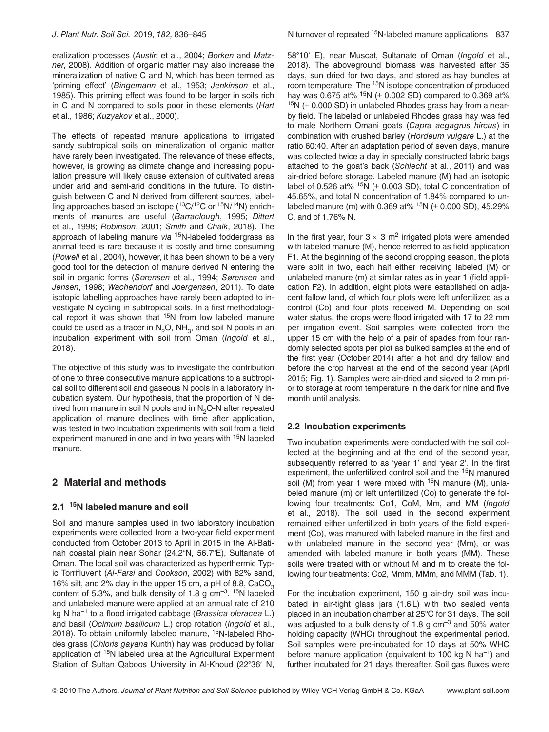eralization processes (Austin et al., 2004; Borken and Matzner, 2008). Addition of organic matter may also increase the mineralization of native C and N, which has been termed as 'priming effect' (Bingemann et al., 1953; Jenkinson et al., 1985). This priming effect was found to be larger in soils rich in C and N compared to soils poor in these elements (Hart et al., 1986; Kuzyakov et al., 2000).

The effects of repeated manure applications to irrigated sandy subtropical soils on mineralization of organic matter have rarely been investigated. The relevance of these effects, however, is growing as climate change and increasing population pressure will likely cause extension of cultivated areas under arid and semi-arid conditions in the future. To distinguish between C and N derived from different sources, labelling approaches based on isotope  $(^{13}C/^{12}C)$  or  $^{15}N/^{14}N$ ) enrichments of manures are useful (Barraclough, 1995; Dittert et al., 1998; Robinson, 2001; Smith and Chalk, 2018). The approach of labeling manure via  $15N$ -labeled foddergrass as animal feed is rare because it is costly and time consuming (Powell et al., 2004), however, it has been shown to be a very good tool for the detection of manure derived N entering the soil in organic forms (Sørensen et al., 1994; Sørensen and Jensen, 1998; Wachendorf and Joergensen, 2011). To date isotopic labelling approaches have rarely been adopted to investigate N cycling in subtropical soils. In a first methodological report it was shown that <sup>15</sup>N from low labeled manure could be used as a tracer in  $N_2O$ ,  $NH_3$ , and soil N pools in an incubation experiment with soil from Oman (Ingold et al., 2018).

The objective of this study was to investigate the contribution of one to three consecutive manure applications to a subtropical soil to different soil and gaseous N pools in a laboratory incubation system. Our hypothesis, that the proportion of N derived from manure in soil N pools and in  $N<sub>2</sub>O-N$  after repeated application of manure declines with time after application, was tested in two incubation experiments with soil from a field experiment manured in one and in two years with <sup>15</sup>N labeled manure.

# 2 Material and methods

# 2.1 <sup>15</sup>N labeled manure and soil

Soil and manure samples used in two laboratory incubation experiments were collected from a two-year field experiment conducted from October 2013 to April in 2015 in the Al-Batinah coastal plain near Sohar (24.2°N, 56.7°E), Sultanate of Oman. The local soil was characterized as hyperthermic Typic Torrifluvent (Al-Farsi and Cookson, 2002) with 82% sand, 16% silt, and 2% clay in the upper 15 cm, a pH of 8.8, CaCO<sub>2</sub> content of 5.3%, and bulk density of 1.8 g  $cm^{-3}$ . <sup>15</sup>N labeled and unlabeled manure were applied at an annual rate of 210 kg N ha<sup>-1</sup> to a flood irrigated cabbage (*Brassica oleracea* L.) and basil (Ocimum basilicum L.) crop rotation (Ingold et al., 2018). To obtain uniformly labeled manure, 15N-labeled Rhodes grass (Chloris gayana Kunth) hay was produced by foliar application of 15N labeled urea at the Agricultural Experiment Station of Sultan Qaboos University in Al-Khoud (22°36′ N,

58°10' E), near Muscat, Sultanate of Oman (*Ingold* et al., 2018). The aboveground biomass was harvested after 35 days, sun dried for two days, and stored as hay bundles at room temperature. The <sup>15</sup>N isotope concentration of produced hay was 0.675 at%  $15N$  ( $\pm$  0.002 SD) compared to 0.369 at%  $15N$  ( $\pm$  0.000 SD) in unlabeled Rhodes grass hay from a nearby field. The labeled or unlabeled Rhodes grass hay was fed to male Northern Omani goats (Capra aegagrus hircus) in combination with crushed barley (Hordeum vulgare L.) at the ratio 60:40. After an adaptation period of seven days, manure was collected twice a day in specially constructed fabric bags attached to the goat's back (Schlecht et al., 2011) and was air-dried before storage. Labeled manure (M) had an isotopic label of 0.526 at%  $15N$  ( $\pm$  0.003 SD), total C concentration of 45.65%, and total N concentration of 1.84% compared to unlabeled manure (m) with 0.369 at%  $15N$  ( $\pm$  0.000 SD), 45.29% C, and of 1.76% N.

In the first year, four  $3 \times 3$  m<sup>2</sup> irrigated plots were amended with labeled manure (M), hence referred to as field application F1. At the beginning of the second cropping season, the plots were split in two, each half either receiving labeled (M) or unlabeled manure (m) at similar rates as in year 1 (field application F2). In addition, eight plots were established on adjacent fallow land, of which four plots were left unfertilized as a control (Co) and four plots received M. Depending on soil water status, the crops were flood irrigated with 17 to 22 mm per irrigation event. Soil samples were collected from the upper 15 cm with the help of a pair of spades from four randomly selected spots per plot as bulked samples at the end of the first year (October 2014) after a hot and dry fallow and before the crop harvest at the end of the second year (April 2015; Fig. 1). Samples were air-dried and sieved to 2 mm prior to storage at room temperature in the dark for nine and five month until analysis.

### 2.2 Incubation experiments

Two incubation experiments were conducted with the soil collected at the beginning and at the end of the second year, subsequently referred to as 'year 1' and 'year 2'. In the first experiment, the unfertilized control soil and the 15N manured soil (M) from year 1 were mixed with  $15N$  manure (M), unlabeled manure (m) or left unfertilized (Co) to generate the following four treatments: Co1, CoM, Mm, and MM (Ingold et al., 2018). The soil used in the second experiment remained either unfertilized in both years of the field experiment (Co), was manured with labeled manure in the first and with unlabeled manure in the second year (Mm), or was amended with labeled manure in both years (MM). These soils were treated with or without M and m to create the following four treatments: Co2, Mmm, MMm, and MMM (Tab. 1).

For the incubation experiment, 150 g air-dry soil was incubated in air-tight glass jars (1.6 L) with two sealed vents placed in an incubation chamber at 25°C for 31 days. The soil was adjusted to a bulk density of 1.8 g  $cm^{-3}$  and 50% water holding capacity (WHC) throughout the experimental period. Soil samples were pre-incubated for 10 days at 50% WHC before manure application (equivalent to 100 kg N ha<sup>-1</sup>) and further incubated for 21 days thereafter. Soil gas fluxes were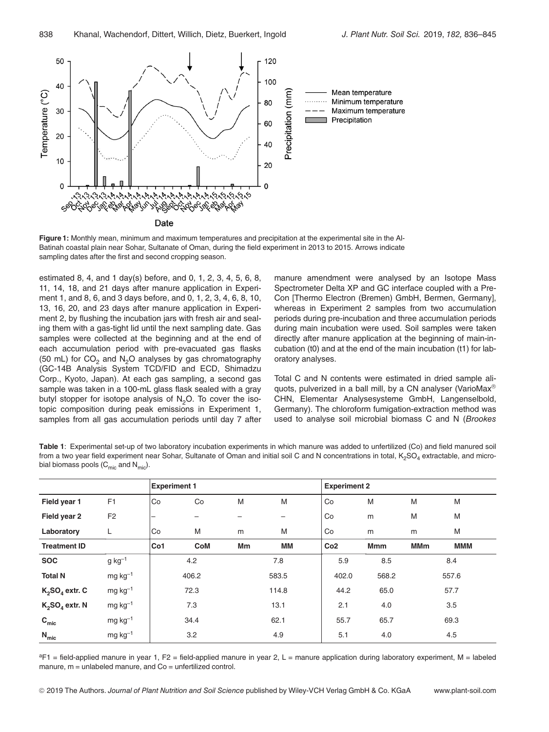

Figure 1: Monthly mean, minimum and maximum temperatures and precipitation at the experimental site in the Al-Batinah coastal plain near Sohar, Sultanate of Oman, during the field experiment in 2013 to 2015. Arrows indicate sampling dates after the first and second cropping season.

estimated 8, 4, and 1 day(s) before, and 0, 1, 2, 3, 4, 5, 6, 8, 11, 14, 18, and 21 days after manure application in Experiment 1, and 8, 6, and 3 days before, and 0, 1, 2, 3, 4, 6, 8, 10, 13, 16, 20, and 23 days after manure application in Experiment 2, by flushing the incubation jars with fresh air and sealing them with a gas-tight lid until the next sampling date. Gas samples were collected at the beginning and at the end of each accumulation period with pre-evacuated gas flasks (50 mL) for  $CO<sub>2</sub>$  and N<sub>2</sub>O analyses by gas chromatography (GC-14B Analysis System TCD/FID and ECD, Shimadzu Corp., Kyoto, Japan). At each gas sampling, a second gas sample was taken in a 100-mL glass flask sealed with a gray butyl stopper for isotope analysis of  $N<sub>2</sub>O$ . To cover the isotopic composition during peak emissions in Experiment 1, samples from all gas accumulation periods until day 7 after manure amendment were analysed by an Isotope Mass Spectrometer Delta XP and GC interface coupled with a Pre-Con [Thermo Electron (Bremen) GmbH, Bermen, Germany], whereas in Experiment 2 samples from two accumulation periods during pre-incubation and three accumulation periods during main incubation were used. Soil samples were taken directly after manure application at the beginning of main-incubation (t0) and at the end of the main incubation (t1) for laboratory analyses.

Total C and N contents were estimated in dried sample aliquots, pulverized in a ball mill, by a CN analyser (VarioMax® CHN, Elementar Analysesysteme GmbH, Langenselbold, Germany). The chloroform fumigation-extraction method was used to analyse soil microbial biomass C and N (Brookes

Table 1: Experimental set-up of two laboratory incubation experiments in which manure was added to unfertilized (Co) and field manured soil from a two year field experiment near Sohar, Sultanate of Oman and initial soil C and N concentrations in total,  $K_2SO_4$  extractable, and microbial biomass pools  $(C_{\text{mic}}$  and  $N_{\text{mic}})$ .

|                     |                | <b>Experiment 1</b> |            |      |       | <b>Experiment 2</b> |            |            |            |  |
|---------------------|----------------|---------------------|------------|------|-------|---------------------|------------|------------|------------|--|
| Field year 1        | F <sub>1</sub> | Co                  | Co         | M    | M     | Co                  | M          | M          | M          |  |
| Field year 2        | F <sub>2</sub> | -                   |            |      |       | Co                  | m          | M          | M          |  |
| Laboratory          | L              | Co                  | M          | m    | M     | Co                  | m          | m          | M          |  |
| <b>Treatment ID</b> |                | Co1                 | <b>CoM</b> | Mm   | МM    | Co <sub>2</sub>     | <b>Mmm</b> | <b>MMm</b> | <b>MMM</b> |  |
| <b>SOC</b>          | $g kg-1$       | 4.2                 |            |      | 7.8   |                     | 8.5        | 8.4        |            |  |
| <b>Total N</b>      | $mg kg-1$      | 406.2               |            |      | 583.5 |                     | 568.2      | 557.6      |            |  |
| $K_2SO_4$ extr. C   | $mg\,kg^{-1}$  | 72.3                |            |      | 114.8 |                     | 65.0       | 57.7       |            |  |
| $K_2SO_4$ extr. N   | $mg\,kg^{-1}$  | 7.3                 |            | 13.1 |       | 2.1                 | 4.0        | 3.5        |            |  |
| $C_{\text{mic}}$    | $mg\,kg^{-1}$  | 34.4                |            |      | 62.1  |                     | 65.7       | 69.3       |            |  |
| $N_{\text{mic}}$    | $mg kg-1$      | 3.2                 |            |      | 4.9   |                     | 4.0        | 4.5        |            |  |

 ${}^{a}F1$  = field-applied manure in year 1, F2 = field-applied manure in year 2, L = manure application during laboratory experiment, M = labeled manure,  $m =$  unlabeled manure, and  $Co =$  unfertilized control.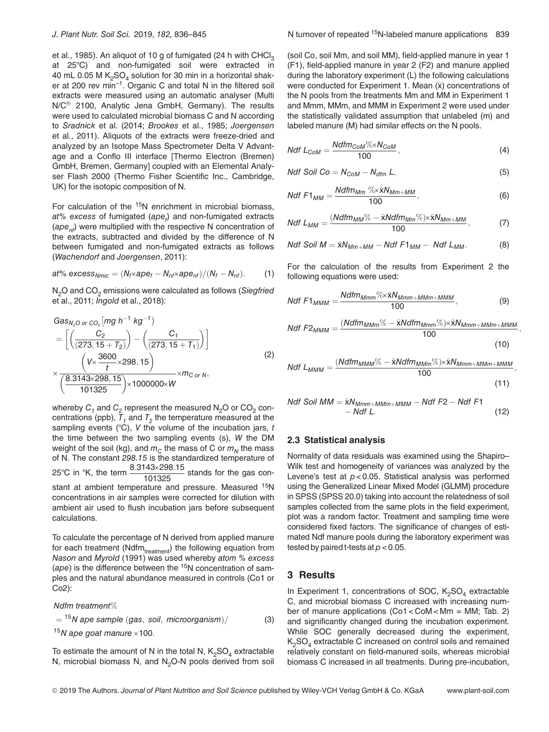et al., 1985). An aliquot of 10 g of fumigated (24 h with CHCl<sub>3</sub> at 25°C) and non-fumigated soil were extracted in 40 mL 0.05 M  $K<sub>2</sub>SO<sub>4</sub>$  solution for 30 min in a horizontal shaker at 200 rev min–1. Organic C and total N in the filtered soil extracts were measured using an automatic analyser (Multi N/C<sup>®</sup> 2100, Analytic Jena GmbH, Germany). The results were used to calculated microbial biomass C and N according to Sradnick et al. (2014; Brookes et al., 1985; Joergensen et al., 2011). Aliquots of the extracts were freeze-dried and analyzed by an Isotope Mass Spectrometer Delta V Advantage and a Conflo III interface [Thermo Electron (Bremen) GmbH, Bremen, Germany] coupled with an Elemental Analyser Flash 2000 (Thermo Fisher Scientific Inc., Cambridge, UK) for the isotopic composition of N.

For calculation of the  $15N$  enrichment in microbial biomass, at% excess of fumigated (ape<sub>f</sub>) and non-fumigated extracts  $(ape_{ni})$  were multiplied with the respective N concentration of the extracts, subtracted and divided by the difference of N between fumigated and non-fumigated extracts as follows (Wachendorf and Joergensen, 2011):

at% excess<sub>Nmic</sub> = 
$$
(N_f \times ape_f - N_{nf} \times ape_{nf})/(N_f - N_{nf})
$$
. (1)

 $N<sub>2</sub>O$  and CO<sub>2</sub> emissions were calculated as follows (Siegfried et al., 2011; Ingold et al., 2018):

$$
Gas_{N_2O\text{ or }CO_2}\left[mg\ h^{-1}\ kg^{-1}\right)
$$
\n
$$
= \left[\left(\frac{C_2}{(273,15+T_2)}\right) - \left(\frac{C_1}{(273,15+T_1)}\right)\right]
$$
\n
$$
\times \frac{\left(V \times \frac{3600}{t} \times 298,15\right)}{\left(\frac{8.3143 \times 298,15}{101325}\right) \times 1000000 \times W}\times m_{C\text{ or }N},
$$
\n(2)

whereby  $C_1$  and  $C_2$  represent the measured N<sub>2</sub>O or CO<sub>2</sub> concentrations (ppb),  $\overline{T}_1$  and  $T_2$  the temperature measured at the sampling events (°C), V the volume of the incubation jars, t the time between the two sampling events (s), W the DM weight of the soil (kg), and  $m<sub>C</sub>$  the mass of C or  $m<sub>N</sub>$  the mass of N. The constant 298.15 is the standardized temperature of 25°C in °K, the term  $\frac{8.3143\times298.15}{101325}$  stands for the gas constant at ambient temperature and pressure. Measured <sup>15</sup>N concentrations in air samples were corrected for dilution with ambient air used to flush incubation jars before subsequent calculations.

To calculate the percentage of N derived from applied manure for each treatment ( $Ndfm_{treatment}$ ) the following equation from Nason and Myrold (1991) was used whereby atom % excess (ape) is the difference between the  $15N$  concentration of samples and the natural abundance measured in controls (Co1 or Co2):

Ndfm treatment%

 $=$  <sup>15</sup>N ape sample (gas, soil, microorganism)/ (3)

 $15N$  ape goat manure  $\times 100$ .

To estimate the amount of N in the total N,  $K_2SO_4$  extractable N, microbial biomass N, and  $N<sub>2</sub>O-N$  pools derived from soil (soil Co, soil Mm, and soil MM), field-applied manure in year 1 (F1), field-applied manure in year 2 (F2) and manure applied during the laboratory experiment (L) the following calculations were conducted for Experiment 1. Mean  $(\bar{x})$  concentrations of the N pools from the treatments Mm and MM in Experiment 1 and Mmm, MMm, and MMM in Experiment 2 were used under the statistically validated assumption that unlabeled (m) and labeled manure (M) had similar effects on the N pools.

$$
Ndf L_{COM} = \frac{Ndfm_{COM} \% \times N_{COM}}{100},
$$
\n(4)

$$
Ndf\text{ }Soil\text{ }Co=N_{COM}-N_{dfm}\text{ }L,\text{ \qquad (5)}
$$

$$
Ndf F1_{MM} = \frac{Ndfm_{Mm} \sqrt[6]{\times} \bar{x}N_{Mm+MM}}{100},
$$
 (6)

$$
Ndf L_{MM} = \frac{(Ndfm_{MM}\% - \bar{x}Ndfm_{MM}\%) \times \bar{x}N_{MM+MM}}{100},
$$
 (7)

$$
Ndf\text{ }Soil\text{ }M=\bar{x}N_{Mm+MM}-Ndf\text{ }F1_{MM}-Ndf\text{ }L_{MM}.\text{}
$$
 (8)

For the calculation of the results from Experiment 2 the following equations were used:

$$
Ndf F1_{MMM} = \frac{Ndfm_{Mmm} \% \times \bar{x}N_{Mmm+MMM+MMM}}{100}, \qquad (9)
$$

$$
Ndf F2_{MMM} = \frac{(Ndfm_{MMM} \% - \bar{x} Ndfm_{Mmm} \% ) \times \bar{x} N_{Mmm+MMM+MMM}}{100},
$$
\n(10)

$$
\sum_{k=1}^{n} \frac{1}{k!}
$$

$$
Ndf L_{MMM} = \frac{(Ndfm_{MMM} \% - \bar{x} Ndfm_{MMm} \% ) \times \bar{x} N_{Mmm+MMm+MMM}}{100},
$$
\n(11)

$$
\begin{aligned} \text{Ndf Soil} \text{ MM} &= \bar{x} N_{Mmm+MMm+MMM} - \text{Ndf } F2 - \text{Ndf } F1 \\ &- \text{Ndf } L. \end{aligned} \tag{12}
$$

#### 2.3 Statistical analysis

Normality of data residuals was examined using the Shapiro– Wilk test and homogeneity of variances was analyzed by the Levene's test at  $p < 0.05$ . Statistical analysis was performed using the Generalized Linear Mixed Model (GLMM) procedure in SPSS (SPSS 20.0) taking into account the relatedness of soil samples collected from the same plots in the field experiment, plot was a random factor. Treatment and sampling time were considered fixed factors. The significance of changes of estimated Ndf manure pools during the laboratory experiment was tested by paired t-tests at  $p < 0.05$ .

### 3 Results

In Experiment 1, concentrations of SOC,  $K_2SO_4$  extractable C, and microbial biomass C increased with increasing number of manure applications (Co1 < CoM < Mm = MM; Tab. 2) and significantly changed during the incubation experiment. While SOC generally decreased during the experiment,  $K<sub>2</sub>SO<sub>4</sub>$  extractable C increased on control soils and remained relatively constant on field-manured soils, whereas microbial biomass C increased in all treatments. During pre-incubation,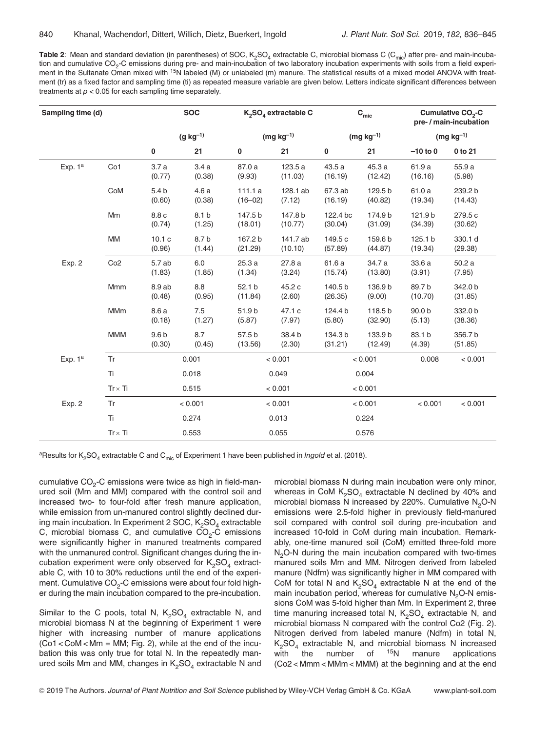**Table 2:** Mean and standard deviation (in parentheses) of SOC, K<sub>2</sub>SO<sub>4</sub> extractable C, microbial biomass C (C<sub>mic</sub>) after pre- and main-incubation and cumulative CO<sub>2</sub>-C emissions during pre- and main-incubation of two laboratory incubation experiments with soils from a field experiment in the Sultanate Oman mixed with <sup>15</sup>N labeled (M) or unlabeled (m) manure. The statistical results of a mixed model ANOVA with treatment (tr) as a fixed factor and sampling time (ti) as repeated measure variable are given below. Letters indicate significant differences between treatments at  $p < 0.05$  for each sampling time separately.

| Sampling time (d) |                | <b>SOC</b>                 |                            | $K_2SO_4$ extractable C |                     | $\mathbf{C}_{\text{mic}}$ |                    | Cumulative CO <sub>2</sub> -C<br>pre- / main-incubation |                    |
|-------------------|----------------|----------------------------|----------------------------|-------------------------|---------------------|---------------------------|--------------------|---------------------------------------------------------|--------------------|
|                   | $(g kg^{-1})$  |                            | $(mg kg-1)$                |                         | $(mg kg-1)$         |                           | $(mg kg-1)$        |                                                         |                    |
|                   |                | 0                          | 21                         | 0                       | 21                  | 0                         | 21                 | $-10$ to $0$                                            | 0 to 21            |
| Exp. $1^a$        | Co1            | 3.7a<br>(0.77)             | 3.4a<br>(0.38)             | 87.0 a<br>(9.93)        | 123.5 a<br>(11.03)  | 43.5 a<br>(16.19)         | 45.3 a<br>(12.42)  | 61.9 a<br>(16.16)                                       | 55.9 a<br>(5.98)   |
|                   | CoM            | 5.4 <sub>b</sub><br>(0.60) | 4.6a<br>(0.38)             | 111.1a<br>$(16 - 02)$   | 128.1 ab<br>(7.12)  | 67.3 ab<br>(16.19)        | 129.5 b<br>(40.82) | 61.0 a<br>(19.34)                                       | 239.2 b<br>(14.43) |
|                   | Mm             | 8.8 c<br>(0.74)            | 8.1 <sub>b</sub><br>(1.25) | 147.5 b<br>(18.01)      | 147.8 b<br>(10.77)  | 122.4 bc<br>(30.04)       | 174.9 b<br>(31.09) | 121.9b<br>(34.39)                                       | 279.5 c<br>(30.62) |
|                   | MM             | 10.1c<br>(0.96)            | 8.7b<br>(1.44)             | 167.2 b<br>(21.29)      | 141.7 ab<br>(10.10) | 149.5 c<br>(57.89)        | 159.6 b<br>(44.87) | 125.1 b<br>(19.34)                                      | 330.1 d<br>(29.38) |
| Exp. 2            | Co2            | 5.7 ab<br>(1.83)           | 6.0<br>(1.85)              | 25.3a<br>(1.34)         | 27.8a<br>(3.24)     | 61.6 a<br>(15.74)         | 34.7 a<br>(13.80)  | 33.6 a<br>(3.91)                                        | 50.2a<br>(7.95)    |
|                   | Mmm            | 8.9 ab<br>(0.48)           | 8.8<br>(0.95)              | 52.1 b<br>(11.84)       | 45.2 c<br>(2.60)    | 140.5 b<br>(26.35)        | 136.9 b<br>(9.00)  | 89.7b<br>(10.70)                                        | 342.0 b<br>(31.85) |
|                   | MMm            | 8.6 a<br>(0.18)            | 7.5<br>(1.27)              | 51.9 b<br>(5.87)        | 47.1 c<br>(7.97)    | 124.4 b<br>(5.80)         | 118.5 b<br>(32.90) | 90.0 b<br>(5.13)                                        | 332.0 b<br>(38.36) |
|                   | <b>MMM</b>     | 9.6 <sub>b</sub><br>(0.30) | 8.7<br>(0.45)              | 57.5 b<br>(13.56)       | 38.4 b<br>(2.30)    | 134.3 b<br>(31.21)        | 133.9 b<br>(12.49) | 83.1 b<br>(4.39)                                        | 356.7 b<br>(51.85) |
| Exp. $1^a$        | Tr             | 0.001                      |                            | < 0.001                 |                     | < 0.001                   |                    | 0.008                                                   | < 0.001            |
|                   | Ti             | 0.018                      |                            | 0.049                   |                     | 0.004                     |                    |                                                         |                    |
|                   | $Tr \times Ti$ | 0.515                      |                            | < 0.001                 |                     | < 0.001                   |                    |                                                         |                    |
| Exp. 2            | Tr             | < 0.001                    |                            | < 0.001                 |                     | < 0.001                   |                    | < 0.001                                                 | < 0.001            |
|                   | Ti             | 0.274                      |                            |                         | 0.013               |                           | 0.224              |                                                         |                    |
|                   | $Tr \times Ti$ |                            | 0.553                      |                         | 0.055               |                           | 0.576              |                                                         |                    |

<sup>a</sup>Results for K<sub>2</sub>SO<sub>4</sub> extractable C and C<sub>mic</sub> of Experiment 1 have been published in *Ingold* et al. (2018).

cumulative  $CO<sub>2</sub>$ -C emissions were twice as high in field-manured soil (Mm and MM) compared with the control soil and increased two- to four-fold after fresh manure application, while emission from un-manured control slightly declined during main incubation. In Experiment 2 SOC,  $K_2SO_4$  extractable C, microbial biomass C, and cumulative  $\overline{CO}_2$ -C emissions were significantly higher in manured treatments compared with the unmanured control. Significant changes during the incubation experiment were only observed for  $K_2SO_4$  extractable C, with 10 to 30% reductions until the end of the experiment. Cumulative  $CO<sub>2</sub>$ -C emissions were about four fold higher during the main incubation compared to the pre-incubation.

Similar to the C pools, total N,  $K_2SO_4$  extractable N, and microbial biomass N at the beginning of Experiment 1 were higher with increasing number of manure applications (Co1 < CoM < Mm = MM; Fig. 2), while at the end of the incubation this was only true for total N. In the repeatedly manured soils Mm and MM, changes in  $K_2SO_4$  extractable N and

microbial biomass N during main incubation were only minor, whereas in CoM  $K_2SO_4$  extractable N declined by 40% and microbial biomass N increased by 220%. Cumulative  $N<sub>2</sub>O-N$ emissions were 2.5-fold higher in previously field-manured soil compared with control soil during pre-incubation and increased 10-fold in CoM during main incubation. Remarkably, one-time manured soil (CoM) emitted three-fold more  $N<sub>2</sub>O-N$  during the main incubation compared with two-times manured soils Mm and MM. Nitrogen derived from labeled manure (Ndfm) was significantly higher in MM compared with CoM for total N and  $K_2SO_4$  extractable N at the end of the main incubation period, whereas for cumulative  $N<sub>2</sub>O-N$  emissions CoM was 5-fold higher than Mm. In Experiment 2, three time manuring increased total N,  $K_2SO_4$  extractable N, and microbial biomass N compared with the control Co2 (Fig. 2). Nitrogen derived from labeled manure (Ndfm) in total N,  $K_2SO_4$  extractable N, and microbial biomass N increased<br>with the number of <sup>15</sup>N manure applications with the number of  $15N$  manure (Co2 < Mmm < MMm < MMM) at the beginning and at the end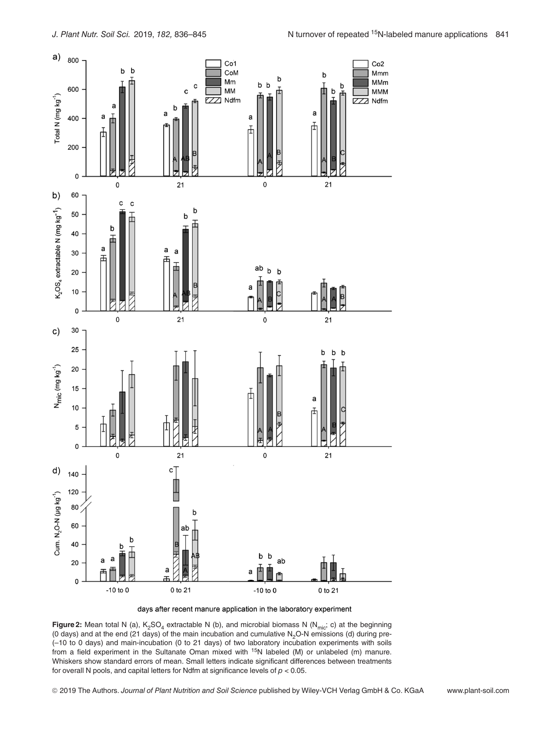

days after recent manure application in the laboratory experiment

**Figure 2:** Mean total N (a),  $K_2SO_4$  extractable N (b), and microbial biomass N (N<sub>mic</sub>; c) at the beginning (0 days) and at the end (21 days) of the main incubation and cumulative  $N<sub>2</sub>O-N$  emissions (d) during pre-(–10 to 0 days) and main-incubation (0 to 21 days) of two laboratory incubation experiments with soils from a field experiment in the Sultanate Oman mixed with 15N labeled (M) or unlabeled (m) manure. Whiskers show standard errors of mean. Small letters indicate significant differences between treatments for overall N pools, and capital letters for Ndfm at significance levels of  $p < 0.05$ .

© 2019 The Authors. Journal of Plant Nutrition and Soil Science published by Wiley-VCH Verlag GmbH & Co. KGaA www.plant-soil.com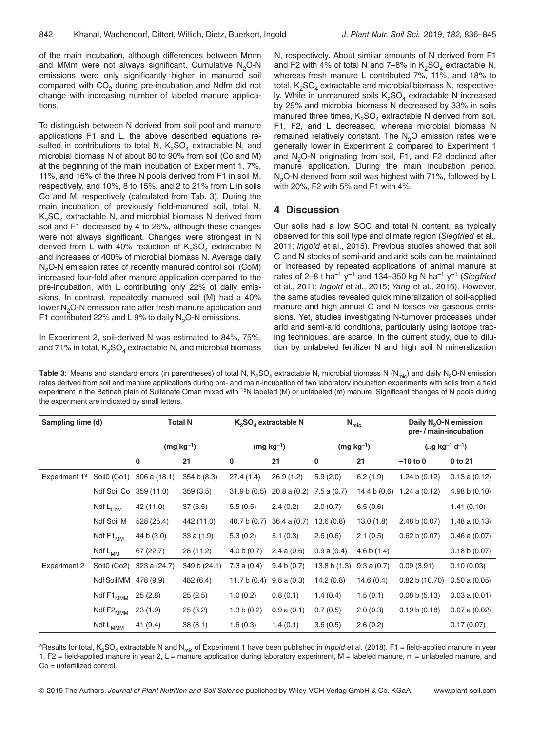of the main incubation, although differences between Mmm and MMm were not always significant. Cumulative  $N<sub>2</sub>O-N$ emissions were only significantly higher in manured soil compared with CO<sub>2</sub> during pre-incubation and Ndfm did not change with increasing number of labeled manure applications.

To distinguish between N derived from soil pool and manure applications F1 and L, the above described equations resulted in contributions to total N,  $K_2SO_4$  extractable N, and microbial biomass N of about 80 to 90% from soil (Co and M) at the beginning of the main incubation of Experiment 1. 7%, 11%, and 16% of the three N pools derived from F1 in soil M, respectively, and 10%, 8 to 15%, and 2 to 21% from L in soils Co and M, respectively (calculated from Tab. 3). During the main incubation of previously field-manured soil, total N,  $K<sub>2</sub>SO<sub>4</sub>$  extractable N, and microbial biomass N derived from soil and F1 decreased by 4 to 26%, although these changes were not always significant. Changes were strongest in N derived from L with 40% reduction of  $K_2SO_4$  extractable N and increases of 400% of microbial biomass N. Average daily N<sub>2</sub>O-N emission rates of recently manured control soil (CoM) increased four-fold after manure application compared to the pre-incubation, with L contributing only 22% of daily emissions. In contrast, repeatedly manured soil (M) had a 40% lower N<sub>2</sub>O-N emission rate after fresh manure application and F1 contributed 22% and L 9% to daily  $N<sub>2</sub>$ O-N emissions.

In Experiment 2, soil-derived N was estimated to 84%, 75%, and 71% in total,  $K_2SO_4$  extractable N, and microbial biomass

N, respectively. About similar amounts of N derived from F1 and F2 with 4% of total N and 7–8% in  $K_2SO_4$  extractable N, whereas fresh manure L contributed 7%, 11%, and 18% to total,  $K<sub>2</sub>SO<sub>4</sub>$  extractable and microbial biomass N, respectively. While in unmanured soils  $K_2SO_4$  extractable N increased by 29% and microbial biomass N decreased by 33% in soils manured three times,  $K_2SO_4$  extractable N derived from soil, F1, F2, and L decreased, whereas microbial biomass N remained relatively constant. The  $N<sub>2</sub>O$  emission rates were generally lower in Experiment 2 compared to Experiment 1 and N<sub>2</sub>O-N originating from soil, F1, and F2 declined after manure application. During the main incubation period, N<sub>2</sub>O-N derived from soil was highest with 71%, followed by L with 20%, F2 with 5% and F1 with 4%.

#### 4 Discussion

Our soils had a low SOC and total N content, as typically observed for this soil type and climate region (Siegfried et al., 2011; Ingold et al., 2015). Previous studies showed that soil C and N stocks of semi-arid and arid soils can be maintained or increased by repeated applications of animal manure at rates of 2-8 t ha<sup>-1</sup> y<sup>-1</sup> and 134-350 kg N ha<sup>-1</sup> y<sup>-1</sup> (Siegfried et al., 2011; Ingold et al., 2015; Yang et al., 2016). However, the same studies revealed quick mineralization of soil-applied manure and high annual C and N losses via gaseous emissions. Yet, studies investigating N-turnover processes under arid and semi-arid conditions, particularly using isotope tracing techniques, are scarce. In the current study, due to dilution by unlabeled fertilizer N and high soil N mineralization

Table 3: Means and standard errors (in parentheses) of total N, K<sub>2</sub>SO<sub>4</sub> extractable N, microbial biomass N (N<sub>mic</sub>) and daily N<sub>2</sub>O-N emission rates derived from soil and manure applications during pre- and main-incubation of two laboratory incubation experiments with soils from a field experiment in the Batinah plain of Sultanate Oman mixed with <sup>15</sup>N labeled (M) or unlabeled (m) manure. Significant changes of N pools during the experiment are indicated by small letters.

| Sampling time (d)         |                                                            | <b>Total N</b> |              | $K_2SO_4$ extractable N |                 | $N_{\text{mic}}$ |                | Daily N <sub>2</sub> O-N emission<br>pre- / main-incubation |                   |
|---------------------------|------------------------------------------------------------|----------------|--------------|-------------------------|-----------------|------------------|----------------|-------------------------------------------------------------|-------------------|
|                           |                                                            | $(mg kg^{-1})$ |              | $(mg kg^{-1})$          |                 | $(mg kg^{-1})$   |                | $(\mu g kg^{-1} d^{-1})$                                    |                   |
|                           |                                                            | 0              | 21           | 0                       | 21              | 0                | 21             | $-10$ to 0                                                  | 0 to 21           |
| Experiment 1 <sup>a</sup> | Soil <sub>0</sub> (Co1)                                    | 306a(18.1)     | 354 b (8.3)  | 27.4 (1.4)              | 26.9(1.2)       | 5.9(2.0)         | 6.2(1.9)       | 1.24 b $(0.12)$                                             | 0.13a(0.12)       |
|                           | Ndf Soil Co                                                | 359 (11.0)     | 359(3.5)     | 31.9 b (0.5)            | 20.8a(0.2)      | 7.5a(0.7)        | 14.4 b $(0.6)$ | $1.24$ a $(0.12)$                                           | 4.98 b $(0.10)$   |
|                           | Ndf $\mathsf{L}_{\mathsf{Co}\mathsf{M}}$                   | 42 (11.0)      | 37(3.5)      | 5.5(0.5)                | 2.4(0.2)        | 2.0(0.7)         | 6.5(0.6)       |                                                             | 1.41(0.10)        |
|                           | Ndf Soil M                                                 | 528 (25.4)     | 442 (11.0)   | 40.7 b (0.7)            | 36.4 a (0.7)    | 13.6(0.8)        | 13.0(1.8)      | 2.48 b (0.07)                                               | 1.48a(0.13)       |
|                           | Ndf $F1_{MM}$                                              | 44 b (3.0)     | 33a(1.9)     | 5.3(0.2)                | 5.1(0.3)        | 2.6(0.6)         | 2.1(0.5)       | 0.62 b(0.07)                                                | $0.46$ a $(0.07)$ |
|                           | Ndf $\mathsf{L}_{\mathsf{MM}}$                             | 67(22.7)       | 28 (11.2)    | 4.0 b(0.7)              | $2.4$ a $(0.6)$ | 0.9a(0.4)        | 4.6 b(1.4)     |                                                             | 0.18 b (0.07)     |
| <b>Experiment 2</b>       | Soil <sub>0</sub> (Co <sub>2</sub> )                       | 323 a (24.7)   | 349 b (24.1) | 7.3a(0.4)               | 9.4 b (0.7)     | 13.8 b(1.3)      | 9.3a(0.7)      | 0.09(3.91)                                                  | 0.10(0.03)        |
|                           | Ndf Soil MM                                                | 478 (9.9)      | 482 (6.4)    | 11.7 b $(0.4)$          | 9.8a(0.3)       | 14.2(0.8)        | 14.6(0.4)      | 0.82 b(10.70)                                               | 0.50 a (0.05)     |
|                           | Ndf $\mathsf{F1}_{\mathsf{MMM}}$                           | 25(2.8)        | 25(2.5)      | 1.0(0.2)                | 0.8(0.1)        | 1.4(0.4)         | 1.5(0.1)       | 0.08 b(5.13)                                                | 0.03 a (0.01)     |
|                           | Ndf $\text{F2}_{\text{MMM}}$                               | 23(1.9)        | 25(3.2)      | 1.3 b(0.2)              | 0.9a(0.1)       | 0.7(0.5)         | 2.0(0.3)       | 0.19 b (0.18)                                               | $0.07$ a $(0.02)$ |
|                           | $\operatorname{\sf Ndf}\,{\sf L}_{\operatorname{\sf MMM}}$ | 41 (9.4)       | 38(8.1)      | 1.6(0.3)                | 1.4(0.1)        | 3.6(0.5)         | 2.6(0.2)       |                                                             | 0.17(0.07)        |

<sup>a</sup>Results for total, K<sub>2</sub>SO<sub>4</sub> extractable N and N<sub>mic</sub> of Experiment 1 have been published in *Ingold* et al. (2018). F1 = field-applied manure in year 1, F2 = field-applied manure in year 2, L = manure application during laboratory experiment, M = labeled manure, m = unlabeled manure, and Co = unfertilized control.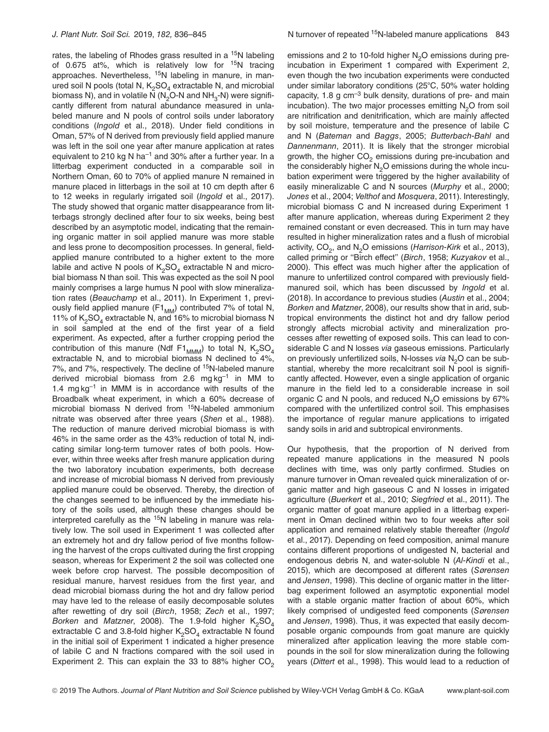rates, the labeling of Rhodes grass resulted in a <sup>15</sup>N labeling of 0.675 at%, which is relatively low for  $15N$  tracing approaches. Nevertheless, 15N labeling in manure, in manured soil N pools (total N,  $K_2SO_4$  extractable N, and microbial biomass N), and in volatile  $\overline{N}$  (N<sub>2</sub>O-N and NH<sub>2</sub>-N) were significantly different from natural abundance measured in unlabeled manure and N pools of control soils under laboratory conditions (Ingold et al., 2018). Under field conditions in Oman, 57% of N derived from previously field applied manure was left in the soil one year after manure application at rates equivalent to 210 kg N ha<sup>-1</sup> and 30% after a further year. In a litterbag experiment conducted in a comparable soil in Northern Oman, 60 to 70% of applied manure N remained in manure placed in litterbags in the soil at 10 cm depth after 6 to 12 weeks in regularly irrigated soil (Ingold et al., 2017). The study showed that organic matter disappearance from litterbags strongly declined after four to six weeks, being best described by an asymptotic model, indicating that the remaining organic matter in soil applied manure was more stable and less prone to decomposition processes. In general, fieldapplied manure contributed to a higher extent to the more labile and active N pools of  $K_2SO_4$  extractable N and microbial biomass N than soil. This was expected as the soil N pool mainly comprises a large humus N pool with slow mineralization rates (Beauchamp et al., 2011). In Experiment 1, previously field applied manure (F1 $_{MM}$ ) contributed 7% of total N, 11% of  $K_2SO_4$  extractable N, and 16% to microbial biomass N in soil sampled at the end of the first year of a field experiment. As expected, after a further cropping period the contribution of this manure (Ndf F1<sub>MMM</sub>) to total N,  $K_2SO_4$ extractable N, and to microbial biomass N declined to 4%, 7%, and 7%, respectively. The decline of <sup>15</sup>N-labeled manure derived microbial biomass from 2.6 mg  $kg^{-1}$  in MM to 1.4  $mg\,kg^{-1}$  in MMM is in accordance with results of the Broadbalk wheat experiment, in which a 60% decrease of microbial biomass N derived from 15N-labeled ammonium nitrate was observed after three years (Shen et al., 1988). The reduction of manure derived microbial biomass is with 46% in the same order as the 43% reduction of total N, indicating similar long-term turnover rates of both pools. However, within three weeks after fresh manure application during the two laboratory incubation experiments, both decrease and increase of microbial biomass N derived from previously applied manure could be observed. Thereby, the direction of the changes seemed to be influenced by the immediate history of the soils used, although these changes should be interpreted carefully as the  $15N$  labeling in manure was relatively low. The soil used in Experiment 1 was collected after an extremely hot and dry fallow period of five months following the harvest of the crops cultivated during the first cropping season, whereas for Experiment 2 the soil was collected one week before crop harvest. The possible decomposition of residual manure, harvest residues from the first year, and dead microbial biomass during the hot and dry fallow period may have led to the release of easily decomposable solutes after rewetting of dry soil (Birch, 1958; Zech et al., 1997; Borken and Matzner, 2008). The 1.9-fold higher  $K_2SO_4$ extractable C and 3.8-fold higher  $K_2SO_4$  extractable N found in the initial soil of Experiment 1 indicated a higher presence of labile C and N fractions compared with the soil used in Experiment 2. This can explain the 33 to 88% higher  $CO<sub>2</sub>$ 

emissions and 2 to 10-fold higher  $N<sub>2</sub>O$  emissions during preincubation in Experiment 1 compared with Experiment 2, even though the two incubation experiments were conducted under similar laboratory conditions ( $25^{\circ}$ C, 50% water holding capacity, 1.8 g cm–3 bulk density, durations of pre- and main incubation). The two major processes emitting  $N<sub>2</sub>O$  from soil are nitrification and denitrification, which are mainly affected by soil moisture, temperature and the presence of labile C and N (Bateman and Baggs, 2005; Butterbach-Bahl and Dannenmann, 2011). It is likely that the stronger microbial growth, the higher  $CO<sub>2</sub>$  emissions during pre-incubation and the considerably higher  $N<sub>2</sub>O$  emissions during the whole incubation experiment were triggered by the higher availability of easily mineralizable C and N sources (Murphy et al., 2000; Jones et al., 2004; Velthof and Mosquera, 2011). Interestingly, microbial biomass C and N increased during Experiment 1 after manure application, whereas during Experiment 2 they remained constant or even decreased. This in turn may have resulted in higher mineralization rates and a flush of microbial activity,  $CO<sub>2</sub>$ , and N<sub>2</sub>O emissions (Harrison-Kirk et al., 2013), called priming or "Birch effect" (Birch, 1958; Kuzyakov et al., 2000). This effect was much higher after the application of manure to unfertilized control compared with previously fieldmanured soil, which has been discussed by Ingold et al. (2018). In accordance to previous studies (Austin et al., 2004; Borken and Matzner, 2008), our results show that in arid, subtropical environments the distinct hot and dry fallow period strongly affects microbial activity and mineralization processes after rewetting of exposed soils. This can lead to considerable C and N losses via gaseous emissions. Particularly on previously unfertilized soils, N-losses via N<sub>2</sub>O can be substantial, whereby the more recalcitrant soil  $N$  pool is significantly affected. However, even a single application of organic manure in the field led to a considerable increase in soil organic C and N pools, and reduced  $N<sub>2</sub>O$  emissions by 67% compared with the unfertilized control soil. This emphasises the importance of regular manure applications to irrigated sandy soils in arid and subtropical environments.

Our hypothesis, that the proportion of N derived from repeated manure applications in the measured N pools declines with time, was only partly confirmed. Studies on manure turnover in Oman revealed quick mineralization of organic matter and high gaseous C and N losses in irrigated agriculture (Buerkert et al., 2010; Siegfried et al., 2011). The organic matter of goat manure applied in a litterbag experiment in Oman declined within two to four weeks after soil application and remained relatively stable thereafter (Ingold et al., 2017). Depending on feed composition, animal manure contains different proportions of undigested N, bacterial and endogenous debris N, and water-soluble N (Al-Kindi et al., 2015), which are decomposed at different rates (Sørensen and Jensen, 1998). This decline of organic matter in the litterbag experiment followed an asymptotic exponential model with a stable organic matter fraction of about 60%, which likely comprised of undigested feed components (Sørensen and Jensen, 1998). Thus, it was expected that easily decomposable organic compounds from goat manure are quickly mineralized after application leaving the more stable compounds in the soil for slow mineralization during the following years (Dittert et al., 1998). This would lead to a reduction of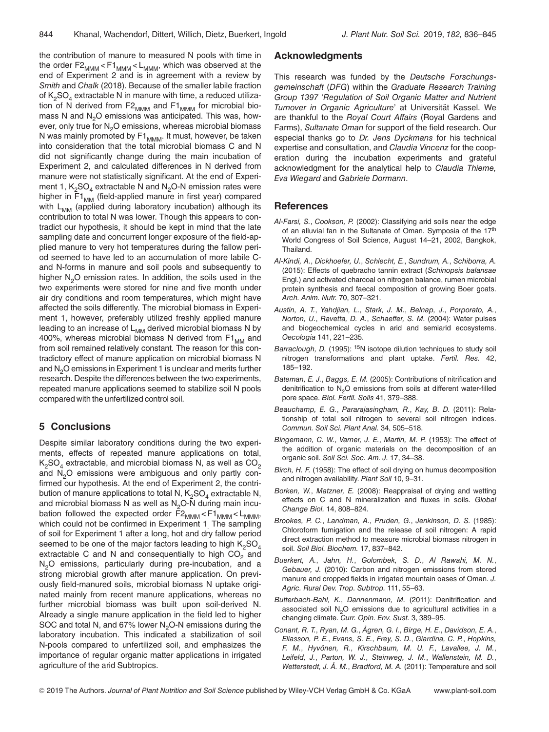the contribution of manure to measured N pools with time in the order  $F2_{MMM}$  <  $F1_{MMM}$  <  $L_{MMM}$ , which was observed at the end of Experiment 2 and is in agreement with a review by Smith and Chalk (2018). Because of the smaller labile fraction of  $K_2SO_4$  extractable N in manure with time, a reduced utilization of N derived from  $F2_{MMM}$  and  $F1_{MMM}$  for microbial biomass N and  $N<sub>2</sub>O$  emissions was anticipated. This was, however, only true for N<sub>2</sub>O emissions, whereas microbial biomass N was mainly promoted by  $F1_{MMM}$ . It must, however, be taken into consideration that the total microbial biomass C and N did not significantly change during the main incubation of Experiment 2, and calculated differences in N derived from manure were not statistically significant. At the end of Experiment 1,  $K_2SO_4$  extractable N and N<sub>2</sub>O-N emission rates were higher in  $F1_{MM}$  (field-applied manure in first year) compared with L<sub>MM</sub> (applied during laboratory incubation) although its contribution to total N was lower. Though this appears to contradict our hypothesis, it should be kept in mind that the late sampling date and concurrent longer exposure of the field-applied manure to very hot temperatures during the fallow period seemed to have led to an accumulation of more labile Cand N-forms in manure and soil pools and subsequently to higher N<sub>2</sub>O emission rates. In addition, the soils used in the two experiments were stored for nine and five month under air dry conditions and room temperatures, which might have affected the soils differently. The microbial biomass in Experiment 1, however, preferably utilized freshly applied manure leading to an increase of  $L_{MM}$  derived microbial biomass N by 400%, whereas microbial biomass N derived from  $F1_{MM}$  and from soil remained relatively constant. The reason for this contradictory effect of manure application on microbial biomass N and N<sub>2</sub>O emissions in Experiment 1 is unclear and merits further research. Despite the differences between the two experiments, repeated manure applications seemed to stabilize soil N pools compared with the unfertilized control soil.

# 5 Conclusions

Despite similar laboratory conditions during the two experiments, effects of repeated manure applications on total,  $K_2SO_4$  extractable, and microbial biomass N, as well as  $CO_2$ and N<sub>2</sub>O emissions were ambiguous and only partly confirmed our hypothesis. At the end of Experiment 2, the contribution of manure applications to total N,  $K_2SO_4$  extractable N, and microbial biomass N as well as  $N_2O-N$  during main incubation followed the expected order  $F2_{MMM}$  <  $F1_{MMM}$  <  $L_{MMM}$ , which could not be confirmed in Experiment 1. The sampling of soil for Experiment 1 after a long, hot and dry fallow period seemed to be one of the major factors leading to high  $K_2SO_4$ extractable C and N and consequentially to high  $CO<sub>2</sub>$  and N<sub>2</sub>O emissions, particularly during pre-incubation, and a strong microbial growth after manure application. On previously field-manured soils, microbial biomass N uptake originated mainly from recent manure applications, whereas no further microbial biomass was built upon soil-derived N. Already a single manure application in the field led to higher SOC and total N, and 67% lower  $N<sub>2</sub>O-N$  emissions during the laboratory incubation. This indicated a stabilization of soil N-pools compared to unfertilized soil, and emphasizes the importance of regular organic matter applications in irrigated agriculture of the arid Subtropics.

## Acknowledgments

This research was funded by the Deutsche Forschungsgemeinschaft (DFG) within the Graduate Research Training Group 1397 'Regulation of Soil Organic Matter and Nutrient Turnover in Organic Agriculture' at Universität Kassel. We are thankful to the Royal Court Affairs (Royal Gardens and Farms), Sultanate Oman for support of the field research. Our especial thanks go to Dr. Jens Dyckmans for his technical expertise and consultation, and Claudia Vincenz for the cooperation during the incubation experiments and grateful acknowledgment for the analytical help to Claudia Thieme, Eva Wiegard and Gabriele Dormann.

## **References**

- Al-Farsi, S., Cookson, P. (2002): Classifying arid soils near the edge of an alluvial fan in the Sultanate of Oman. Symposia of the 17<sup>th</sup> World Congress of Soil Science, August 14–21, 2002, Bangkok, Thailand.
- Al-Kindi, A., Dickhoefer, U., Schlecht, E., Sundrum, A., Schiborra, A. (2015): Effects of quebracho tannin extract (Schinopsis balansae Engl.) and activated charcoal on nitrogen balance, rumen microbial protein synthesis and faecal composition of growing Boer goats. Arch. Anim. Nutr. 70, 307–321.
- Austin, A. T., Yahdjian, L., Stark, J. M., Belnap, J., Porporato, A., Norton, U., Ravetta, D. A., Schaeffer, S. M. (2004): Water pulses and biogeochemical cycles in arid and semiarid ecosystems. Oecologia 141, 221–235.
- Barraclough, D. (1995): <sup>15</sup>N isotope dilution techniques to study soil nitrogen transformations and plant uptake. Fertil. Res. 42, 185–192.
- Bateman, E. J., Baggs, E. M. (2005): Contributions of nitrification and denitrification to  $N<sub>2</sub>O$  emissions from soils at different water-filled pore space. Biol. Fertil. Soils 41, 379–388.
- Beauchamp, E. G., Pararajasingham, R., Kay, B. D. (2011): Relationship of total soil nitrogen to several soil nitrogen indices. Commun. Soil Sci. Plant Anal. 34, 505–518.
- Bingemann, C. W., Varner, J. E., Martin, M. P. (1953): The effect of the addition of organic materials on the decomposition of an organic soil. Soil Sci. Soc. Am. J. 17, 34–38.
- Birch, H. F. (1958): The effect of soil drying on humus decomposition and nitrogen availability. Plant Soil 10, 9–31.
- Borken, W., Matzner, E. (2008): Reappraisal of drying and wetting effects on C and N mineralization and fluxes in soils. Global Change Biol. 14, 808–824.
- Brookes, P. C., Landman, A., Pruden, G., Jenkinson, D. S. (1985): Chloroform fumigation and the release of soil nitrogen: A rapid direct extraction method to measure microbial biomass nitrogen in soil. Soil Biol. Biochem. 17, 837–842.
- Buerkert, A., Jahn, H., Golombek, S. D., Al Rawahi, M. N., Gebauer, J. (2010): Carbon and nitrogen emissions from stored manure and cropped fields in irrigated mountain oases of Oman. J. Agric. Rural Dev. Trop. Subtrop. 111, 55–63.
- Butterbach-Bahl, K., Dannenmann, M. (2011): Denitrification and associated soil  $N<sub>2</sub>O$  emissions due to agricultural activities in a changing climate. Curr. Opin. Env. Sust. 3, 389–95.
- Conant, R. T., Ryan, M. G., Ågren, G. I., Birge, H. E., Davidson, E. A., Eliasson, P. E., Evans, S. E., Frey, S. D., Giardina, C. P., Hopkins, F. M., Hyvönen, R., Kirschbaum, M. U. F., Lavallee, J. M., Leifeld, J., Parton, W. J., Steinweg, J. M., Wallenstein, M. D., Wetterstedt, J. Å. M., Bradford, M. A. (2011): Temperature and soil